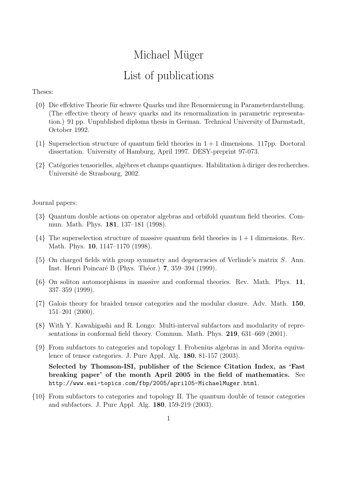## Michael Müger List of publications

## Theses:

- {0} Die effektive Theorie für schwere Quarks und ihre Renormierung in Parameterdarstellung. (The effective theory of heavy quarks and its renormalization in parametric representation.) 91 pp. Unpublished diploma thesis in German. Technical University of Darmstadt, October 1992.
- $\{1\}$  Superselection structure of quantum field theories in  $1+1$  dimensions. 117pp. Doctoral dissertation. University of Hamburg, April 1997. DESY-preprint 97-073.
- $\{2\}$  Catégories tensorielles, algèbres et champs quantiques. Habilitation à diriger des recherches. Université de Strasbourg, 2002.

## Journal papers:

- {3} Quantum double actions on operator algebras and orbifold quantum field theories. Commun. Math. Phys. 181, 137–181 (1998).
- $\{4\}$  The superselection structure of massive quantum field theories in  $1+1$  dimensions. Rev. Math. Phys. 10, 1147–1170 (1998).
- {5} On charged fields with group symmetry and degeneracies of Verlinde's matrix S. Ann. Inst. Henri Poincaré B (Phys. Théor.) 7, 359–394 (1999).
- {6} On soliton automorphisms in massive and conformal theories. Rev. Math. Phys. 11, 337–359 (1999).
- {7} Galois theory for braided tensor categories and the modular closure. Adv. Math. 150, 151–201 (2000).
- {8} With Y. Kawahigashi and R. Longo: Multi-interval subfactors and modularity of representations in conformal field theory. Commun. Math. Phys. 219, 631–669 (2001).
- {9} From subfactors to categories and topology I. Frobenius algebras in and Morita equivalence of tensor categories. J. Pure Appl. Alg. 180, 81-157 (2003).

Selected by Thomson-ISI, publisher of the Science Citation Index, as 'Fast breaking paper' of the month April 2005 in the field of mathematics. See http://www.esi-topics.com/fbp/2005/april05-MichaelMuger.html.

{10} From subfactors to categories and topology II. The quantum double of tensor categories and subfactors. J. Pure Appl. Alg. 180, 159-219 (2003).